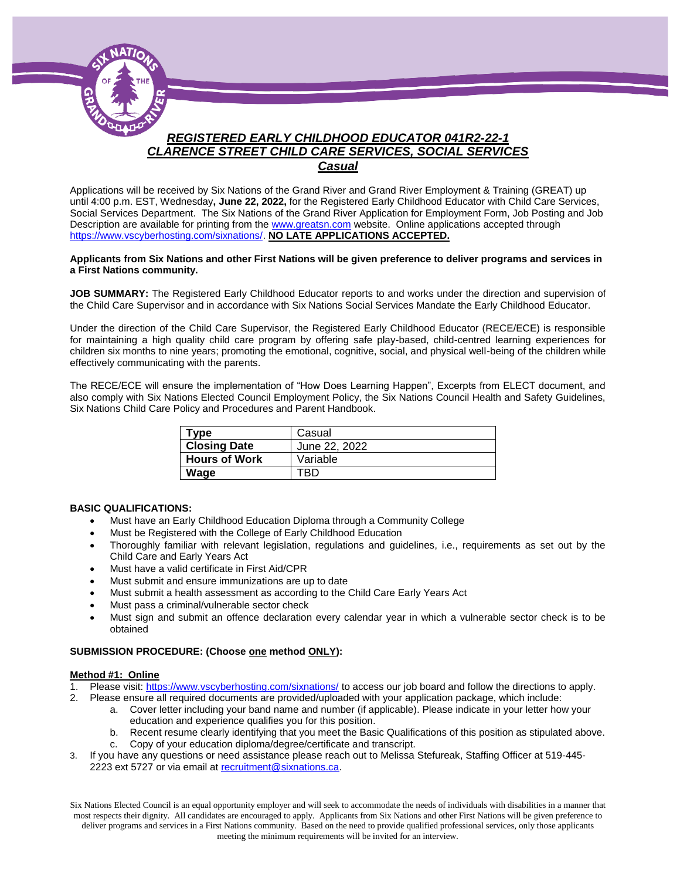

*Casual*

Applications will be received by Six Nations of the Grand River and Grand River Employment & Training (GREAT) up until 4:00 p.m. EST, Wednesday**, June 22, 2022,** for the Registered Early Childhood Educator with Child Care Services, Social Services Department. The Six Nations of the Grand River Application for Employment Form, Job Posting and Job Description are available for printing from th[e www.greatsn.com](http://www.greatsn.com/) website. Online applications accepted through [https://www.vscyberhosting.com/sixnations/.](https://www.vscyberhosting.com/sixnations/) **NO LATE APPLICATIONS ACCEPTED.**

#### **Applicants from Six Nations and other First Nations will be given preference to deliver programs and services in a First Nations community.**

**JOB SUMMARY:** The Registered Early Childhood Educator reports to and works under the direction and supervision of the Child Care Supervisor and in accordance with Six Nations Social Services Mandate the Early Childhood Educator.

Under the direction of the Child Care Supervisor, the Registered Early Childhood Educator (RECE/ECE) is responsible for maintaining a high quality child care program by offering safe play-based, child-centred learning experiences for children six months to nine years; promoting the emotional, cognitive, social, and physical well-being of the children while effectively communicating with the parents.

The RECE/ECE will ensure the implementation of "How Does Learning Happen", Excerpts from ELECT document, and also comply with Six Nations Elected Council Employment Policy, the Six Nations Council Health and Safety Guidelines, Six Nations Child Care Policy and Procedures and Parent Handbook.

| Type                 | Casual        |
|----------------------|---------------|
| <b>Closing Date</b>  | June 22, 2022 |
| <b>Hours of Work</b> | Variable      |
| Wage                 | RГ            |

### **BASIC QUALIFICATIONS:**

- Must have an Early Childhood Education Diploma through a Community College
- Must be Registered with the College of Early Childhood Education
- Thoroughly familiar with relevant legislation, regulations and guidelines, i.e., requirements as set out by the Child Care and Early Years Act
- Must have a valid certificate in First Aid/CPR
- Must submit and ensure immunizations are up to date
- Must submit a health assessment as according to the Child Care Early Years Act
- Must pass a criminal/vulnerable sector check
- Must sign and submit an offence declaration every calendar year in which a vulnerable sector check is to be obtained

### **SUBMISSION PROCEDURE: (Choose one method ONLY):**

### **Method #1: Online**

- 1. Please visit[: https://www.vscyberhosting.com/sixnations/](https://www.vscyberhosting.com/sixnations/) to access our job board and follow the directions to apply.
- 2. Please ensure all required documents are provided/uploaded with your application package, which include:
	- a. Cover letter including your band name and number (if applicable). Please indicate in your letter how your education and experience qualifies you for this position.
	- b. Recent resume clearly identifying that you meet the Basic Qualifications of this position as stipulated above.
	- c. Copy of your education diploma/degree/certificate and transcript.
- 3. If you have any questions or need assistance please reach out to Melissa Stefureak, Staffing Officer at 519-445- 2223 ext 5727 or via email at [recruitment@sixnations.ca.](mailto:recruitment@sixnations.ca)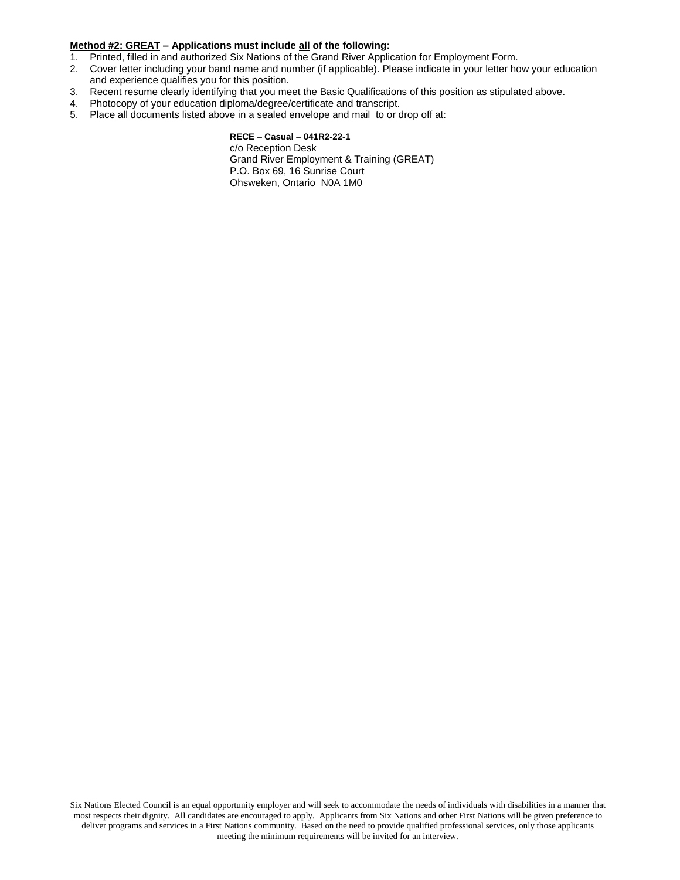### **Method #2: GREAT – Applications must include all of the following:**

- 1. Printed, filled in and authorized Six Nations of the Grand River Application for Employment Form.
- 2. Cover letter including your band name and number (if applicable). Please indicate in your letter how your education and experience qualifies you for this position.
- 3. Recent resume clearly identifying that you meet the Basic Qualifications of this position as stipulated above.
- 4. Photocopy of your education diploma/degree/certificate and transcript.
- 5. Place all documents listed above in a sealed envelope and mail to or drop off at:

#### **RECE – Casual – 041R2-22-1**  c/o Reception Desk

Grand River Employment & Training (GREAT) P.O. Box 69, 16 Sunrise Court Ohsweken, Ontario N0A 1M0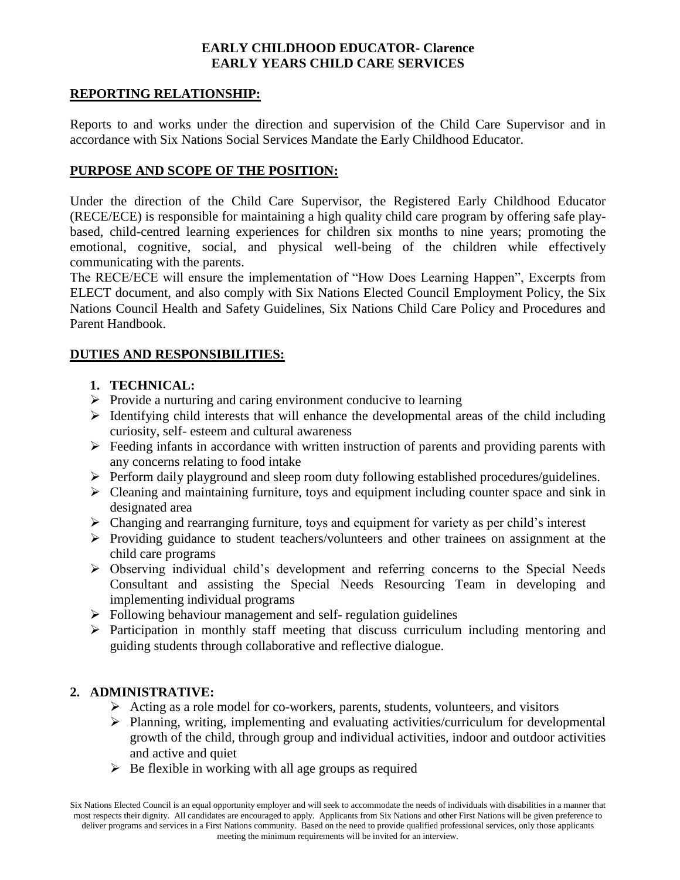# **EARLY CHILDHOOD EDUCATOR- Clarence EARLY YEARS CHILD CARE SERVICES**

## **REPORTING RELATIONSHIP:**

Reports to and works under the direction and supervision of the Child Care Supervisor and in accordance with Six Nations Social Services Mandate the Early Childhood Educator.

## **PURPOSE AND SCOPE OF THE POSITION:**

Under the direction of the Child Care Supervisor, the Registered Early Childhood Educator (RECE/ECE) is responsible for maintaining a high quality child care program by offering safe playbased, child-centred learning experiences for children six months to nine years; promoting the emotional, cognitive, social, and physical well-being of the children while effectively communicating with the parents.

The RECE/ECE will ensure the implementation of "How Does Learning Happen", Excerpts from ELECT document, and also comply with Six Nations Elected Council Employment Policy, the Six Nations Council Health and Safety Guidelines, Six Nations Child Care Policy and Procedures and Parent Handbook.

## **DUTIES AND RESPONSIBILITIES:**

# **1. TECHNICAL:**

- $\triangleright$  Provide a nurturing and caring environment conducive to learning
- $\triangleright$  Identifying child interests that will enhance the developmental areas of the child including curiosity, self- esteem and cultural awareness
- $\triangleright$  Feeding infants in accordance with written instruction of parents and providing parents with any concerns relating to food intake
- Perform daily playground and sleep room duty following established procedures/guidelines.
- $\triangleright$  Cleaning and maintaining furniture, toys and equipment including counter space and sink in designated area
- $\triangleright$  Changing and rearranging furniture, toys and equipment for variety as per child's interest
- $\triangleright$  Providing guidance to student teachers/volunteers and other trainees on assignment at the child care programs
- Observing individual child's development and referring concerns to the Special Needs Consultant and assisting the Special Needs Resourcing Team in developing and implementing individual programs
- $\triangleright$  Following behaviour management and self- regulation guidelines
- $\triangleright$  Participation in monthly staff meeting that discuss curriculum including mentoring and guiding students through collaborative and reflective dialogue.

## **2. ADMINISTRATIVE:**

- $\triangleright$  Acting as a role model for co-workers, parents, students, volunteers, and visitors
- $\triangleright$  Planning, writing, implementing and evaluating activities/curriculum for developmental growth of the child, through group and individual activities, indoor and outdoor activities and active and quiet
- $\triangleright$  Be flexible in working with all age groups as required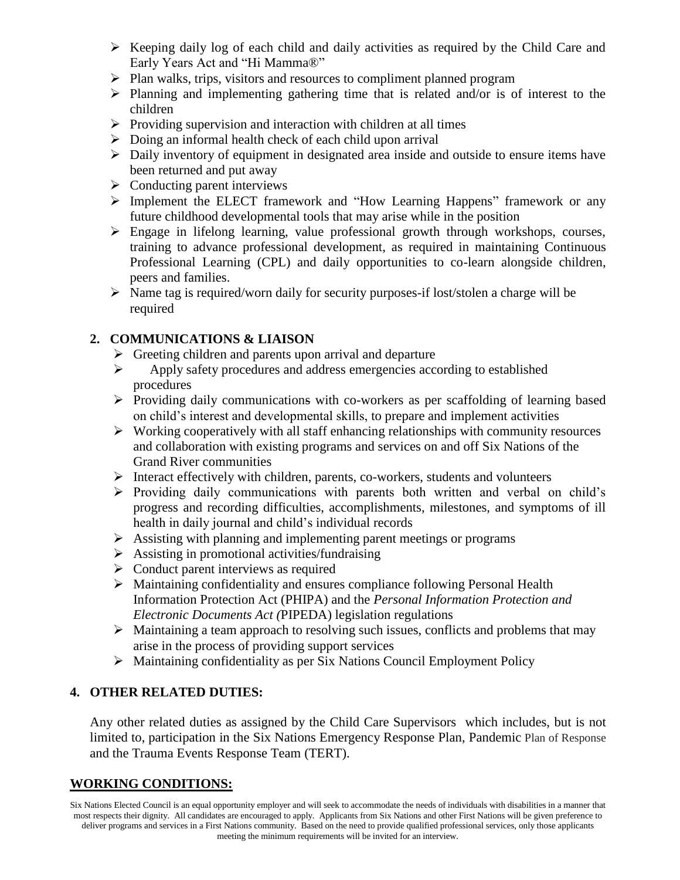- $\triangleright$  Keeping daily log of each child and daily activities as required by the Child Care and Early Years Act and "Hi Mamma®"
- $\triangleright$  Plan walks, trips, visitors and resources to compliment planned program
- $\triangleright$  Planning and implementing gathering time that is related and/or is of interest to the children
- $\triangleright$  Providing supervision and interaction with children at all times
- $\triangleright$  Doing an informal health check of each child upon arrival
- $\triangleright$  Daily inventory of equipment in designated area inside and outside to ensure items have been returned and put away
- $\triangleright$  Conducting parent interviews
- Implement the ELECT framework and "How Learning Happens" framework or any future childhood developmental tools that may arise while in the position
- $\triangleright$  Engage in lifelong learning, value professional growth through workshops, courses, training to advance professional development, as required in maintaining Continuous Professional Learning (CPL) and daily opportunities to co-learn alongside children, peers and families.
- $\triangleright$  Name tag is required/worn daily for security purposes-if lost/stolen a charge will be required

# **2. COMMUNICATIONS & LIAISON**

- $\triangleright$  Greeting children and parents upon arrival and departure
- Apply safety procedures and address emergencies according to established procedures
- $\triangleright$  Providing daily communications with co-workers as per scaffolding of learning based on child's interest and developmental skills, to prepare and implement activities
- $\triangleright$  Working cooperatively with all staff enhancing relationships with community resources and collaboration with existing programs and services on and off Six Nations of the Grand River communities
- $\triangleright$  Interact effectively with children, parents, co-workers, students and volunteers
- $\triangleright$  Providing daily communications with parents both written and verbal on child's progress and recording difficulties, accomplishments, milestones, and symptoms of ill health in daily journal and child's individual records
- $\triangleright$  Assisting with planning and implementing parent meetings or programs
- $\triangleright$  Assisting in promotional activities/fundraising
- $\triangleright$  Conduct parent interviews as required
- Maintaining confidentiality and ensures compliance following Personal Health Information Protection Act (PHIPA) and the *Personal Information Protection and Electronic Documents Act (*PIPEDA) legislation regulations
- $\triangleright$  Maintaining a team approach to resolving such issues, conflicts and problems that may arise in the process of providing support services
- $\triangleright$  Maintaining confidentiality as per Six Nations Council Employment Policy

# **4. OTHER RELATED DUTIES:**

Any other related duties as assigned by the Child Care Supervisors which includes, but is not limited to, participation in the Six Nations Emergency Response Plan, Pandemic Plan of Response and the Trauma Events Response Team (TERT).

# **WORKING CONDITIONS:**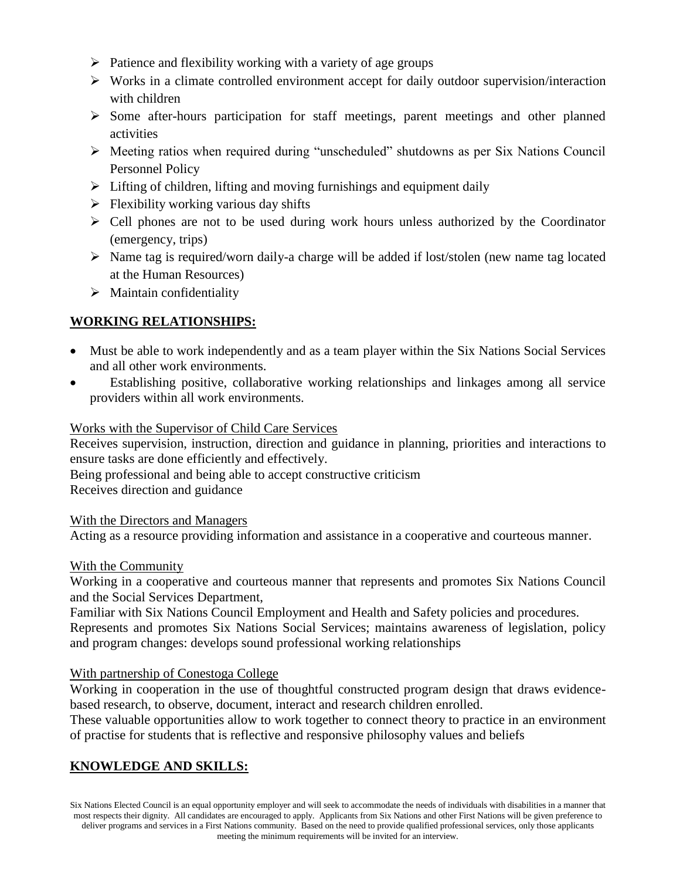- $\triangleright$  Patience and flexibility working with a variety of age groups
- $\triangleright$  Works in a climate controlled environment accept for daily outdoor supervision/interaction with children
- $\triangleright$  Some after-hours participation for staff meetings, parent meetings and other planned activities
- Meeting ratios when required during "unscheduled" shutdowns as per Six Nations Council Personnel Policy
- $\triangleright$  Lifting of children, lifting and moving furnishings and equipment daily
- $\triangleright$  Flexibility working various day shifts
- $\triangleright$  Cell phones are not to be used during work hours unless authorized by the Coordinator (emergency, trips)
- $\triangleright$  Name tag is required/worn daily-a charge will be added if lost/stolen (new name tag located at the Human Resources)
- $\triangleright$  Maintain confidentiality

# **WORKING RELATIONSHIPS:**

- Must be able to work independently and as a team player within the Six Nations Social Services and all other work environments.
- Establishing positive, collaborative working relationships and linkages among all service providers within all work environments.

## Works with the Supervisor of Child Care Services

Receives supervision, instruction, direction and guidance in planning, priorities and interactions to ensure tasks are done efficiently and effectively.

Being professional and being able to accept constructive criticism

Receives direction and guidance

With the Directors and Managers

Acting as a resource providing information and assistance in a cooperative and courteous manner.

## With the Community

Working in a cooperative and courteous manner that represents and promotes Six Nations Council and the Social Services Department,

Familiar with Six Nations Council Employment and Health and Safety policies and procedures. Represents and promotes Six Nations Social Services; maintains awareness of legislation, policy and program changes: develops sound professional working relationships

## With partnership of Conestoga College

Working in cooperation in the use of thoughtful constructed program design that draws evidencebased research, to observe, document, interact and research children enrolled.

These valuable opportunities allow to work together to connect theory to practice in an environment of practise for students that is reflective and responsive philosophy values and beliefs

# **KNOWLEDGE AND SKILLS:**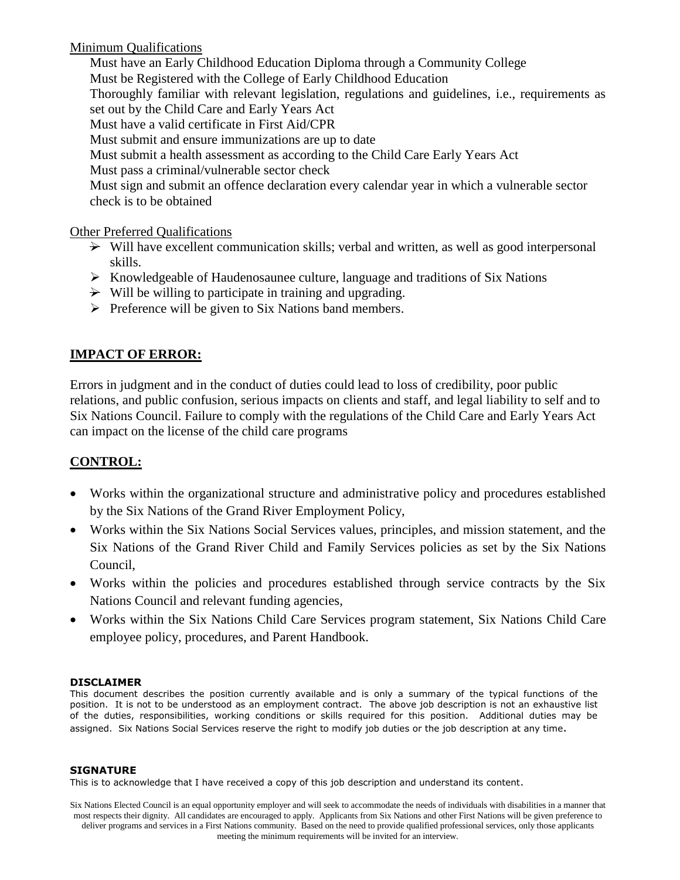Minimum Qualifications

Must have an Early Childhood Education Diploma through a Community College Must be Registered with the College of Early Childhood Education Thoroughly familiar with relevant legislation, regulations and guidelines, i.e., requirements as set out by the Child Care and Early Years Act Must have a valid certificate in First Aid/CPR Must submit and ensure immunizations are up to date Must submit a health assessment as according to the Child Care Early Years Act Must pass a criminal/vulnerable sector check Must sign and submit an offence declaration every calendar year in which a vulnerable sector check is to be obtained

Other Preferred Qualifications

- $\rightarrow$  Will have excellent communication skills; verbal and written, as well as good interpersonal skills.
- $\triangleright$  Knowledgeable of Haudenosaunee culture, language and traditions of Six Nations
- $\rightarrow$  Will be willing to participate in training and upgrading.
- $\triangleright$  Preference will be given to Six Nations band members.

## **IMPACT OF ERROR:**

Errors in judgment and in the conduct of duties could lead to loss of credibility, poor public relations, and public confusion, serious impacts on clients and staff, and legal liability to self and to Six Nations Council. Failure to comply with the regulations of the Child Care and Early Years Act can impact on the license of the child care programs

# **CONTROL:**

- Works within the organizational structure and administrative policy and procedures established by the Six Nations of the Grand River Employment Policy,
- Works within the Six Nations Social Services values, principles, and mission statement, and the Six Nations of the Grand River Child and Family Services policies as set by the Six Nations Council,
- Works within the policies and procedures established through service contracts by the Six Nations Council and relevant funding agencies,
- Works within the Six Nations Child Care Services program statement, Six Nations Child Care employee policy, procedures, and Parent Handbook.

### **DISCLAIMER**

This document describes the position currently available and is only a summary of the typical functions of the position. It is not to be understood as an employment contract. The above job description is not an exhaustive list of the duties, responsibilities, working conditions or skills required for this position. Additional duties may be assigned. Six Nations Social Services reserve the right to modify job duties or the job description at any time.

### **SIGNATURE**

This is to acknowledge that I have received a copy of this job description and understand its content.